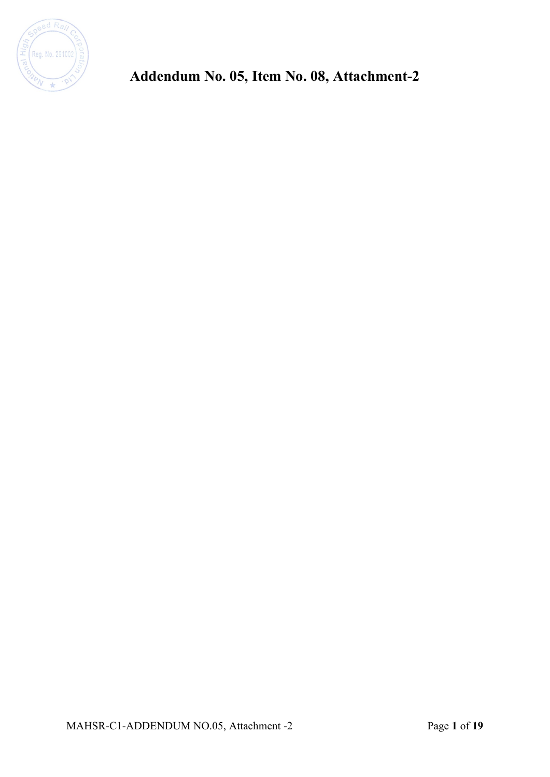

**Addendum No. 05, Item No. 08, Attachment-2**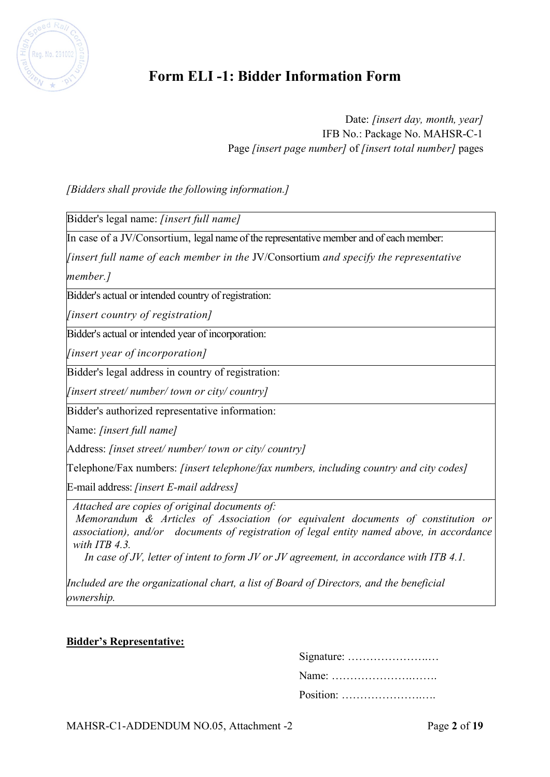

# **Form ELI -1: Bidder Information Form**

Date: *[insert day, month, year]* IFB No.: Package No. MAHSR-C-1 Page *[insert page number]* of *[insert total number]* pages

*[Bidders shall provide the following information.]*

Bidder's legal name: *[insert full name]*

In case of a JV/Consortium, legal name of the representative member and of each member:

*[insert full name of each member in the* JV/Consortium *and specify the representative member.]*

Bidder's actual or intended country of registration:

*[insert country of registration]*

Bidder's actual or intended year of incorporation:

*[insert year of incorporation]*

Bidder's legal address in country of registration:

*[insert street/ number/ town or city/ country]*

Bidder's authorized representative information:

Name: *[insert full name]*

Address: *[inset street/ number/ town or city/ country]*

Telephone/Fax numbers: *[insert telephone/fax numbers, including country and city codes]*

E-mail address: *[insert E-mail address]*

*Attached are copies of original documents of:* 

 *Memorandum & Articles of Association (or equivalent documents of constitution or association), and/or documents of registration of legal entity named above, in accordance with ITB 4.3.* 

*In case of JV, letter of intent to form JV or JV agreement, in accordance with ITB 4.1.* 

*Included are the organizational chart, a list of Board of Directors, and the beneficial ownership.*

#### **Bidder's Representative:**

| Position: |
|-----------|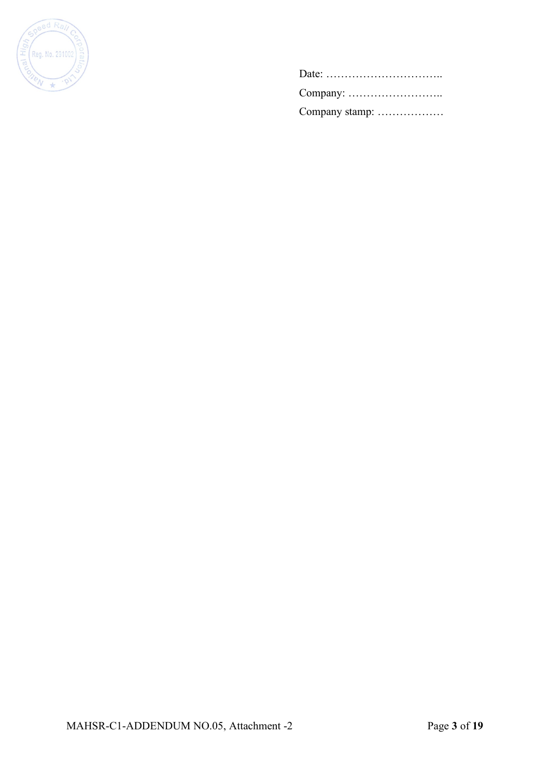

| Company stamp: |
|----------------|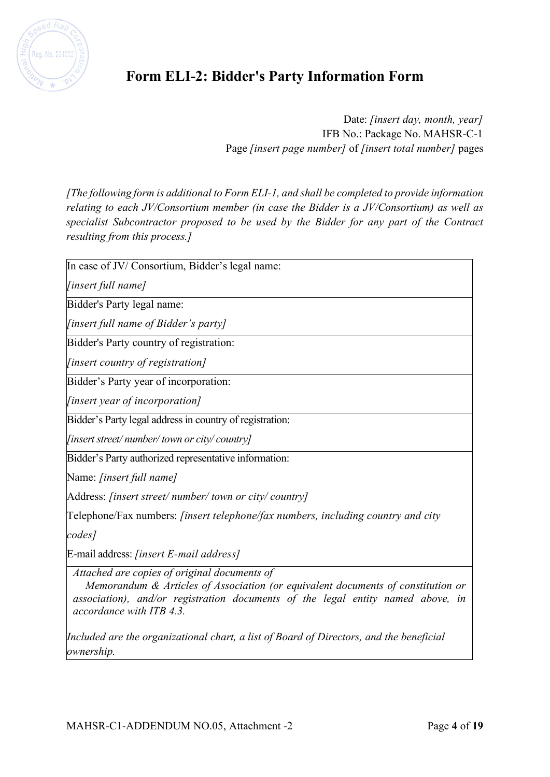

# **Form ELI-2: Bidder's Party Information Form**

Date: *[insert day, month, year]* IFB No.: Package No. MAHSR-C-1 Page *[insert page number]* of *[insert total number]* pages

*[The following form is additional to Form ELI-1, and shall be completed to provide information relating to each JV/Consortium member (in case the Bidder is a JV/Consortium) as well as specialist Subcontractor proposed to be used by the Bidder for any part of the Contract resulting from this process.]*

In case of JV/ Consortium, Bidder's legal name:

*[insert full name]*

Bidder's Party legal name:

*[insert full name of Bidder's party]*

Bidder's Party country of registration:

*[insert country of registration]*

Bidder's Party year of incorporation:

*[insert year of incorporation]*

Bidder's Party legal address in country of registration:

*[insert street/ number/ town or city/ country]*

Bidder's Party authorized representative information:

Name: *[insert full name]*

Address: *[insert street/ number/ town or city/ country]*

Telephone/Fax numbers: *[insert telephone/fax numbers, including country and city* 

*codes]*

E-mail address: *[insert E-mail address]*

*Attached are copies of original documents of* 

 *Memorandum & Articles of Association (or equivalent documents of constitution or association), and/or registration documents of the legal entity named above, in accordance with ITB 4.3.* 

*Included are the organizational chart, a list of Board of Directors, and the beneficial ownership.*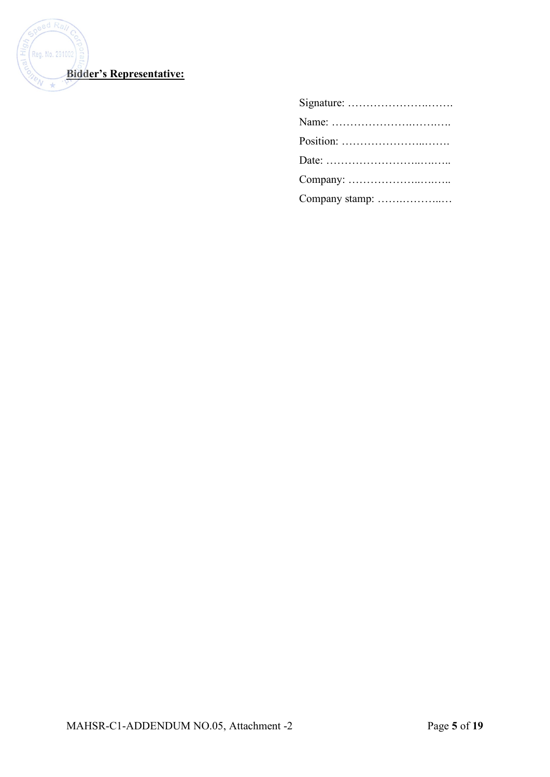

| Company stamp: |
|----------------|
|                |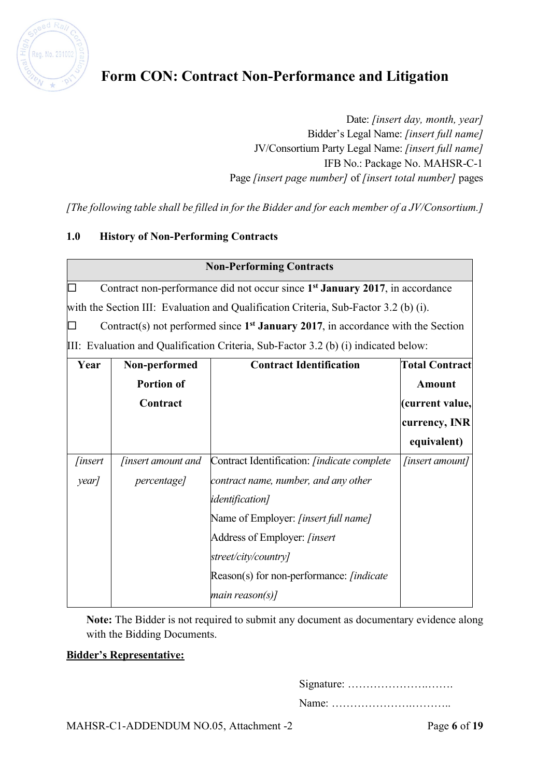

# **Form CON: Contract Non-Performance and Litigation**

Date: *[insert day, month, year]* Bidder's Legal Name: *[insert full name]* JV/Consortium Party Legal Name: *[insert full name]* IFB No.: Package No. MAHSR-C-1 Page *[insert page number]* of *[insert total number]* pages

*[The following table shall be filled in for the Bidder and for each member of a JV/Consortium.]*

### **1.0 History of Non-Performing Contracts**

| <b>Non-Performing Contracts</b> |               |                                                                                          |                       |
|---------------------------------|---------------|------------------------------------------------------------------------------------------|-----------------------|
| $\Box$                          |               | Contract non-performance did not occur since 1 <sup>st</sup> January 2017, in accordance |                       |
|                                 |               | with the Section III: Evaluation and Qualification Criteria, Sub-Factor 3.2 (b) (i).     |                       |
| ⊡                               |               | Contract(s) not performed since $1^{st}$ January 2017, in accordance with the Section    |                       |
|                                 |               | $III:$ Evaluation and Qualification Criteria, Sub-Factor 3.2 (b) (i) indicated below:    |                       |
| Year                            | Non-performed | <b>Contract Identification</b>                                                           | <b>Total Contract</b> |

| Year           | Non-performed             | <b>Contract Identification</b>                       | <b>Total Contract</b>  |
|----------------|---------------------------|------------------------------------------------------|------------------------|
|                | <b>Portion of</b>         |                                                      | <b>Amount</b>          |
|                | Contract                  |                                                      | (current value,        |
|                |                           |                                                      | currency, INR          |
|                |                           |                                                      | equivalent)            |
| <i>finsert</i> | <i>finsert amount and</i> | Contract Identification: <i>[indicate complete</i> ] | <i>[insert amount]</i> |
| year/          | <i>percentage]</i>        | contract name, number, and any other                 |                        |
|                |                           | <i>identification</i> ]                              |                        |
|                |                           | Name of Employer: [insert full name]                 |                        |
|                |                           | Address of Employer: [insert                         |                        |
|                |                           | street/city/country]                                 |                        |
|                |                           | Reason(s) for non-performance: <i>[indicate</i> ]    |                        |
|                |                           | main reason(s)]                                      |                        |

**Note:** The Bidder is not required to submit any document as documentary evidence along with the Bidding Documents.

### **Bidder's Representative:**

Signature: ………………….…….

Name: ………………….………..

MAHSR-C1-ADDENDUM NO.05, Attachment -2 Page **6** of **19**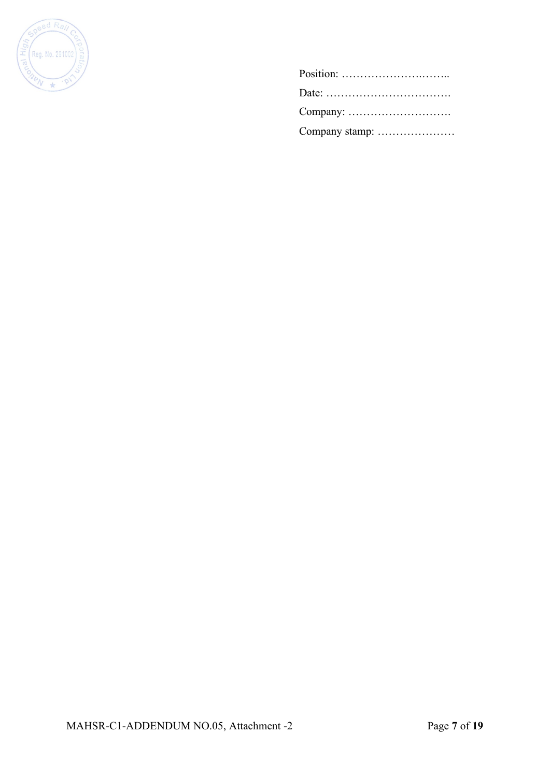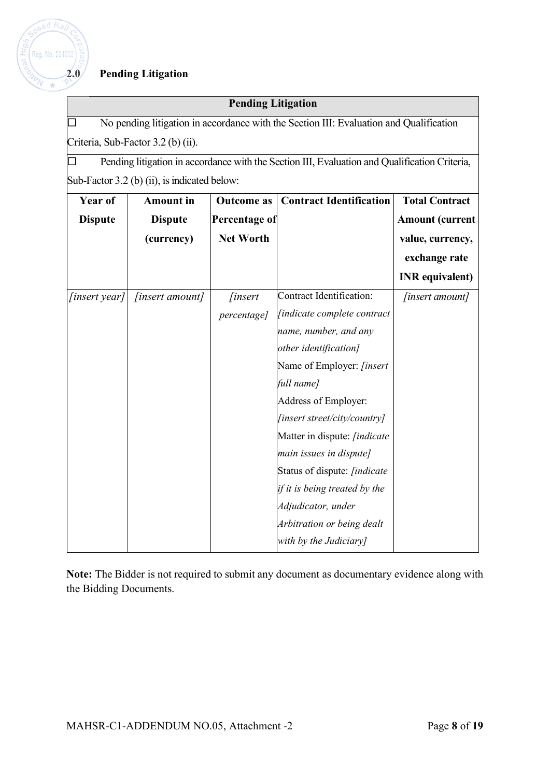

## **2.0 Pending Litigation**

### **Pending Litigation**

 $\Box$  No pending litigation in accordance with the Section III: Evaluation and Qualification Criteria, Sub-Factor 3.2 (b) (ii).

 $\Box$  Pending litigation in accordance with the Section III, Evaluation and Qualification Criteria, Sub-Factor 3.2 (b) (ii), is indicated below:

| <b>Year of</b> | <b>Amount</b> in | <b>Outcome</b> as | <b>Contract Identification</b>   | <b>Total Contract</b>  |
|----------------|------------------|-------------------|----------------------------------|------------------------|
| <b>Dispute</b> | <b>Dispute</b>   | Percentage of     |                                  | <b>Amount (current</b> |
|                | (currency)       | <b>Net Worth</b>  |                                  | value, currency,       |
|                |                  |                   |                                  | exchange rate          |
|                |                  |                   |                                  | <b>INR</b> equivalent) |
| $[insert\,$    | [insert amount]  | <i>finsert</i>    | Contract Identification:         | [insert amount]        |
|                |                  | percentage]       | [indicate complete contract      |                        |
|                |                  |                   | name, number, and any            |                        |
|                |                  |                   | other identification]            |                        |
|                |                  |                   | Name of Employer: <i>[insert</i> |                        |
|                |                  |                   | full name]                       |                        |
|                |                  |                   | Address of Employer:             |                        |
|                |                  |                   | [insert street/city/country]     |                        |
|                |                  |                   | Matter in dispute: [indicate     |                        |
|                |                  |                   | main issues in dispute]          |                        |
|                |                  |                   | Status of dispute: [indicate     |                        |
|                |                  |                   | if it is being treated by the    |                        |
|                |                  |                   | Adjudicator, under               |                        |
|                |                  |                   | Arbitration or being dealt       |                        |
|                |                  |                   | with by the Judiciary]           |                        |

**Note:** The Bidder is not required to submit any document as documentary evidence along with the Bidding Documents.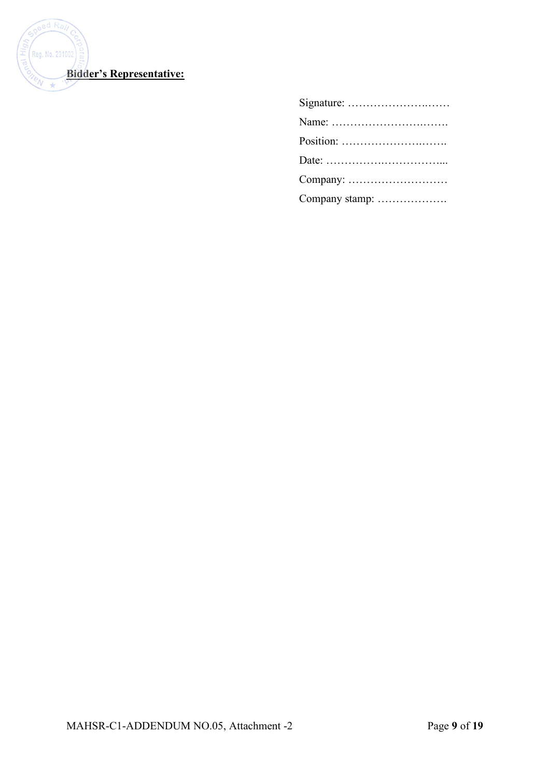

| Company stamp: |
|----------------|
|                |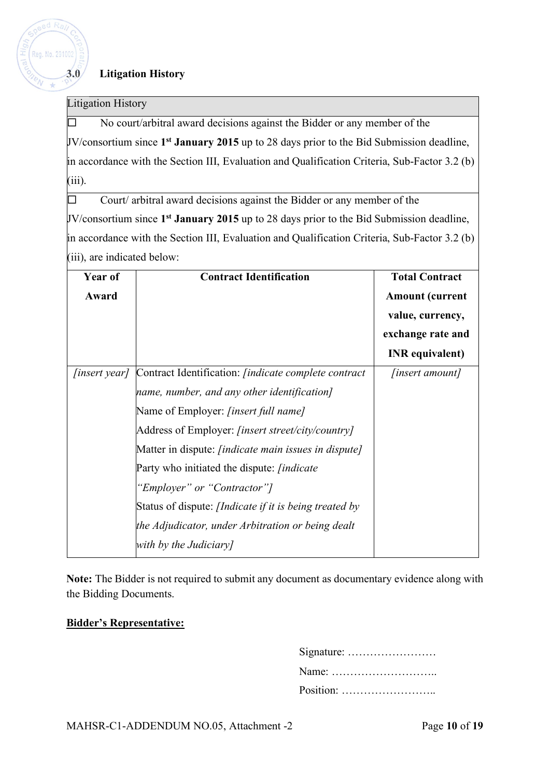## **3.0 Litigation History**

#### Litigation History

 $adR$ 

Reg. No. 291002

 $\Box$  No court/arbitral award decisions against the Bidder or any member of the JV/consortium since **1st January 2015** up to 28 days prior to the Bid Submission deadline, in accordance with the Section III, Evaluation and Qualification Criteria, Sub-Factor 3.2 (b) (iii).

 $\Box$  Court/ arbitral award decisions against the Bidder or any member of the JV/consortium since **1st January 2015** up to 28 days prior to the Bid Submission deadline, in accordance with the Section III, Evaluation and Qualification Criteria, Sub-Factor 3.2 (b) (iii), are indicated below:

| Year of             | <b>Contract Identification</b>                                | <b>Total Contract</b>  |
|---------------------|---------------------------------------------------------------|------------------------|
| Award               |                                                               | <b>Amount</b> (current |
|                     |                                                               | value, currency,       |
|                     |                                                               | exchange rate and      |
|                     |                                                               | <b>INR</b> equivalent) |
| <i>finsert year</i> | Contract Identification: <i>[indicate complete contract</i> ] | <i>[insert amount]</i> |
|                     | name, number, and any other identification]                   |                        |
|                     | Name of Employer: <i>[insert full name]</i>                   |                        |
|                     | Address of Employer: <i>[insert street/city/country]</i>      |                        |
|                     | Matter in dispute: <i>[indicate main issues in dispute]</i>   |                        |
|                     | Party who initiated the dispute: <i>[indicate</i> ]           |                        |
|                     | "Employer" or "Contractor"]                                   |                        |
|                     | Status of dispute: <i>[Indicate if it is being treated by</i> |                        |
|                     | the Adjudicator, under Arbitration or being dealt             |                        |
|                     | with by the Judiciary]                                        |                        |

**Note:** The Bidder is not required to submit any document as documentary evidence along with the Bidding Documents.

### **Bidder's Representative:**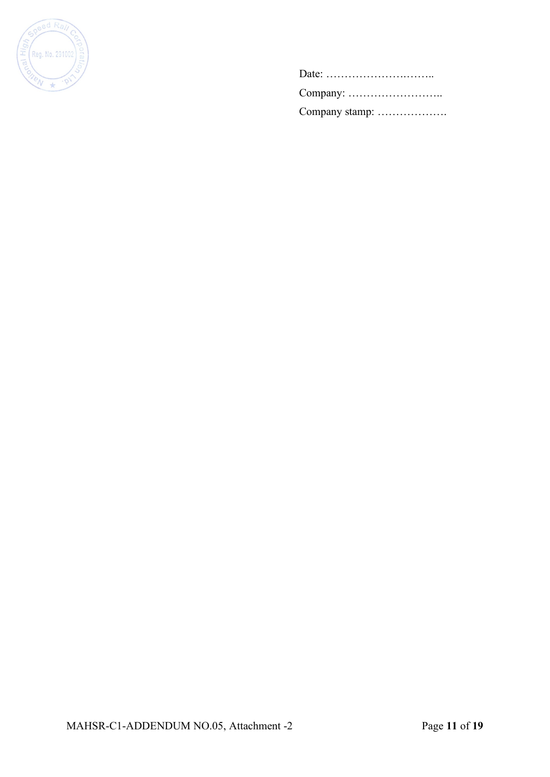

Date: ………………….…….. Company: …………………….. Company stamp: ……………….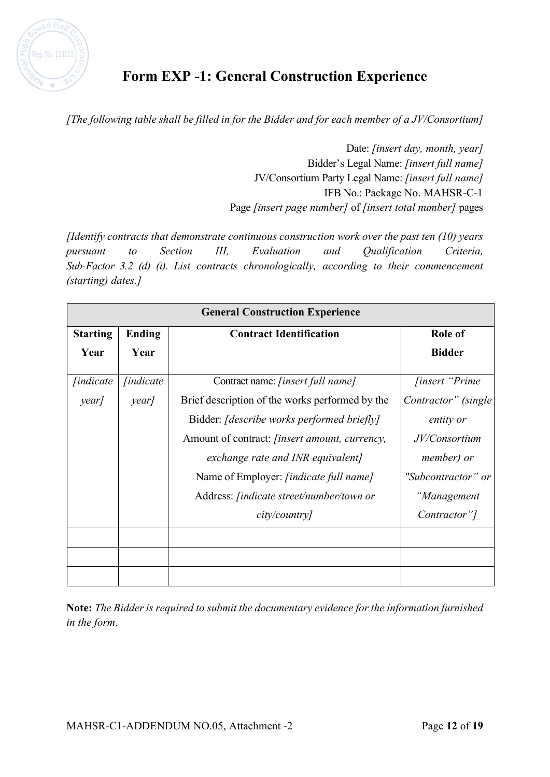

# **Form EXP -1: General Construction Experience**

*[The following table shall be filled in for the Bidder and for each member of a JV/Consortium]*

Date: *[insert day, month, year]* Bidder's Legal Name: *[insert full name]* JV/Consortium Party Legal Name: *[insert full name]* IFB No.: Package No. MAHSR-C-1 Page *[insert page number]* of *[insert total number]* pages

*[Identify contracts that demonstrate continuous construction work over the past ten (10) years pursuant to Section III, Evaluation and Qualification Criteria, Sub-Factor 3.2 (d) (i). List contracts chronologically, according to their commencement (starting) dates.]*

| <b>General Construction Experience</b> |                  |                                                      |                                 |
|----------------------------------------|------------------|------------------------------------------------------|---------------------------------|
| <b>Starting</b>                        | <b>Ending</b>    | <b>Contract Identification</b>                       | <b>Role of</b>                  |
| Year                                   | Year             |                                                      | <b>Bidder</b>                   |
| <i>findicate</i>                       | <i>lindicate</i> | Contract name: <i>[insert full name]</i>             | <i>finsert</i> " <i>Prime</i> " |
| year]                                  | year]            | Brief description of the works performed by the      | Contractor" (single             |
|                                        |                  | Bidder: <i>[describe works performed briefly]</i>    | entity or                       |
|                                        |                  | Amount of contract: <i>[insert amount, currency,</i> | JV/Consortium                   |
|                                        |                  | exchange rate and INR equivalent]                    | member) or                      |
|                                        |                  | Name of Employer: [indicate full name]               | "Subcontractor" or              |
|                                        |                  | Address: <i>[indicate street/number/town or</i>      | "Management                     |
|                                        |                  | city/country                                         | Contractor"]                    |
|                                        |                  |                                                      |                                 |
|                                        |                  |                                                      |                                 |
|                                        |                  |                                                      |                                 |

**Note:** *The Bidder is required to submit the documentary evidence for the information furnished in the form*.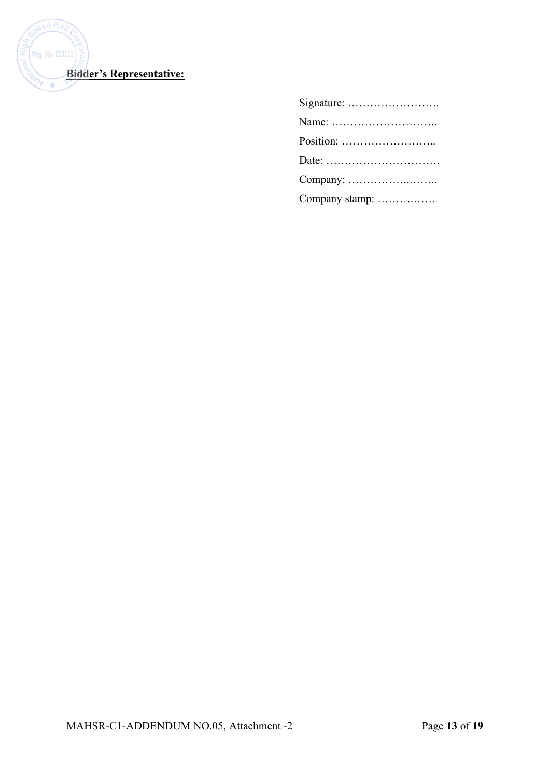

| Name:          |
|----------------|
| Position:      |
|                |
|                |
| Company stamp: |
|                |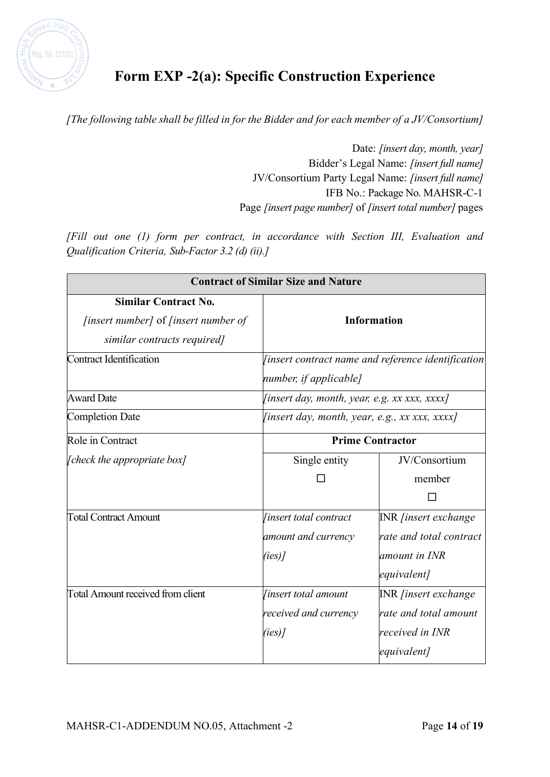

# **Form EXP -2(a): Specific Construction Experience**

*[The following table shall be filled in for the Bidder and for each member of a JV/Consortium]*

Date: *[insert day, month, year]* Bidder's Legal Name: *[insert full name]* JV/Consortium Party Legal Name: *[insert full name]* IFB No.: Package No. MAHSR-C-1 Page *[insert page number]* of *[insert total number]* pages

*[Fill out one (1) form per contract, in accordance with Section III, Evaluation and Qualification Criteria, Sub-Factor 3.2 (d) (ii).]*

|                                                                                                                  | <b>Contract of Similar Size and Nature</b>                                       |                                                                                               |  |
|------------------------------------------------------------------------------------------------------------------|----------------------------------------------------------------------------------|-----------------------------------------------------------------------------------------------|--|
| <b>Similar Contract No.</b><br><i>finsert number]</i> of <i>finsert number of</i><br>similar contracts required] | <b>Information</b>                                                               |                                                                                               |  |
| Contract Identification                                                                                          | [insert contract name and reference identification $ $<br>number, if applicable] |                                                                                               |  |
| <b>Award Date</b>                                                                                                | <i>[insert day, month, year, e.g. xx xxx, xxxx]</i>                              |                                                                                               |  |
| <b>Completion Date</b>                                                                                           | <i>[insert day, month, year, e.g., xx xxx, xxxx]</i>                             |                                                                                               |  |
| Role in Contract                                                                                                 | <b>Prime Contractor</b>                                                          |                                                                                               |  |
| [check the appropriate box]                                                                                      | Single entity                                                                    | JV/Consortium<br>member                                                                       |  |
| <b>Total Contract Amount</b>                                                                                     | <i>linsert total contract</i><br>amount and currency<br>$(ies)$ ]                | <b>INR</b> <i>[insert exchange</i><br>rate and total contract<br>amount in INR<br>equivalent] |  |
| <b>Total Amount received from client</b>                                                                         | <i>linsert total amount</i><br>received and currency<br>$(ies)$ ]                | <b>INR</b> [insert exchange<br>rate and total amount<br>received in INR<br>equivalent]        |  |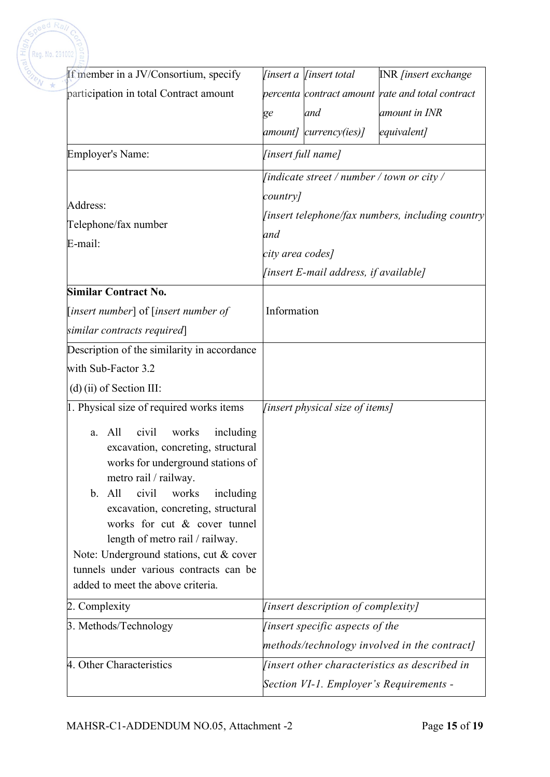| Reg. No. 291002                                                                                                     |                         |                                            |                                                  |  |
|---------------------------------------------------------------------------------------------------------------------|-------------------------|--------------------------------------------|--------------------------------------------------|--|
| If member in a JV/Consortium, specify                                                                               |                         | <i>finsert a   finsert total</i>           | <b>INR</b> [insert exchange                      |  |
| participation in total Contract amount                                                                              |                         |                                            | percenta contract amount rate and total contract |  |
|                                                                                                                     | ge                      | and                                        | amount in INR                                    |  |
|                                                                                                                     |                         | amount] currency(ies)]                     | equivalent]                                      |  |
| <b>Employer's Name:</b>                                                                                             |                         | [insert full name]                         |                                                  |  |
|                                                                                                                     |                         | [indicate street / number / town or city / |                                                  |  |
| Address:                                                                                                            | country]                |                                            |                                                  |  |
|                                                                                                                     |                         |                                            | [insert telephone/fax numbers, including country |  |
| Telephone/fax number                                                                                                | and<br>city area codes] |                                            |                                                  |  |
| E-mail:                                                                                                             |                         |                                            |                                                  |  |
|                                                                                                                     |                         | [insert E-mail address, if available]      |                                                  |  |
| <b>Similar Contract No.</b>                                                                                         |                         |                                            |                                                  |  |
| [insert number] of [insert number of                                                                                | Information             |                                            |                                                  |  |
| similar contracts required]                                                                                         |                         |                                            |                                                  |  |
| Description of the similarity in accordance                                                                         |                         |                                            |                                                  |  |
| with Sub-Factor 3.2                                                                                                 |                         |                                            |                                                  |  |
| $(d)$ (ii) of Section III:                                                                                          |                         |                                            |                                                  |  |
| 1. Physical size of required works items                                                                            |                         | [insert physical size of items]            |                                                  |  |
| including<br>All<br>civil<br>works<br>a.<br>excavation, concreting, structural<br>works for underground stations of |                         |                                            |                                                  |  |
| metro rail / railway.                                                                                               |                         |                                            |                                                  |  |
| b. All<br>civil<br>works<br>including<br>excavation, concreting, structural                                         |                         |                                            |                                                  |  |
| works for cut & cover tunnel                                                                                        |                         |                                            |                                                  |  |
| length of metro rail / railway.                                                                                     |                         |                                            |                                                  |  |
| Note: Underground stations, cut & cover                                                                             |                         |                                            |                                                  |  |
| tunnels under various contracts can be<br>added to meet the above criteria.                                         |                         |                                            |                                                  |  |
|                                                                                                                     |                         |                                            |                                                  |  |
| 2. Complexity                                                                                                       |                         | [insert description of complexity]         |                                                  |  |
| 3. Methods/Technology                                                                                               |                         | [insert specific aspects of the            |                                                  |  |
|                                                                                                                     |                         |                                            | methods/technology involved in the contract]     |  |
| 4. Other Characteristics                                                                                            |                         |                                            | [insert other characteristics as described in    |  |

 $ed$   $Ra$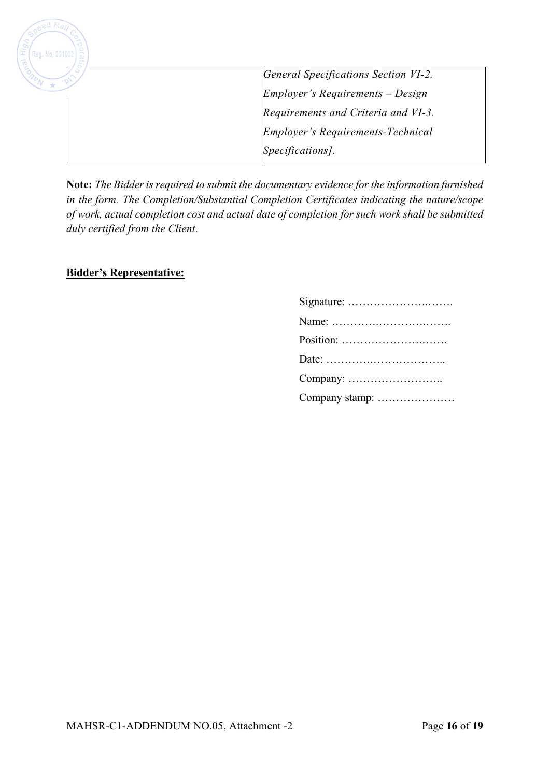

**Note:** *The Bidder is required to submit the documentary evidence for the information furnished in the form. The Completion/Substantial Completion Certificates indicating the nature/scope of work, actual completion cost and actual date of completion for such work shall be submitted duly certified from the Client*.

### **Bidder's Representative:**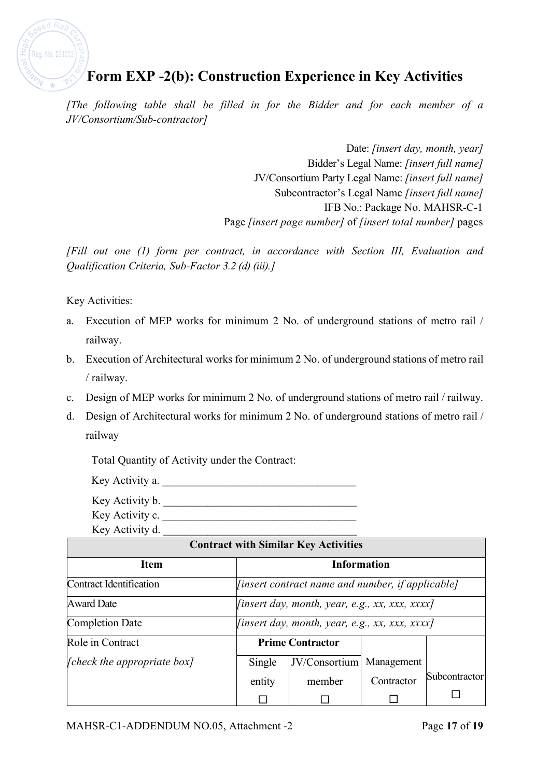

# **Form EXP -2(b): Construction Experience in Key Activities**

*[The following table shall be filled in for the Bidder and for each member of a JV/Consortium/Sub-contractor]*

> Date: *[insert day, month, year]* Bidder's Legal Name: *[insert full name]* JV/Consortium Party Legal Name: *[insert full name]* Subcontractor's Legal Name *[insert full name]* IFB No.: Package No. MAHSR-C-1 Page *[insert page number]* of *[insert total number]* pages

*[Fill out one (1) form per contract, in accordance with Section III, Evaluation and Qualification Criteria, Sub-Factor 3.2 (d) (iii).]*

Key Activities:

- a. Execution of MEP works for minimum 2 No. of underground stations of metro rail / railway.
- b. Execution of Architectural works for minimum 2 No. of underground stations of metro rail / railway.
- c. Design of MEP works for minimum 2 No. of underground stations of metro rail / railway.
- d. Design of Architectural works for minimum 2 No. of underground stations of metro rail / railway

Total Quantity of Activity under the Contract:

Key Activity a.

Key Activity b. \_\_\_\_\_\_\_\_\_\_\_\_\_\_\_\_\_\_\_\_\_\_\_\_\_\_\_\_\_\_\_\_\_\_\_

Key Activity c.

Key Activity d. \_\_\_\_\_\_\_\_\_\_\_\_\_\_\_\_\_\_\_\_\_\_\_\_\_\_\_\_\_\_\_\_\_\_\_

| <b>Contract with Similar Key Activities</b> |                                                       |                         |            |               |
|---------------------------------------------|-------------------------------------------------------|-------------------------|------------|---------------|
| <b>Item</b>                                 | <b>Information</b>                                    |                         |            |               |
| Contract Identification                     | [insert contract name and number, if applicable]      |                         |            |               |
| <b>Award Date</b>                           | <i>[insert day, month, year, e.g., xx, xxx, xxxx]</i> |                         |            |               |
| <b>Completion Date</b>                      | [insert day, month, year, e.g., xx, xxx, xxxx]        |                         |            |               |
| Role in Contract                            |                                                       | <b>Prime Contractor</b> |            |               |
| [check the appropriate box]                 | Single                                                | JV/Consortium           | Management |               |
|                                             | entity                                                | member                  | Contractor | Subcontractor |
|                                             |                                                       |                         |            |               |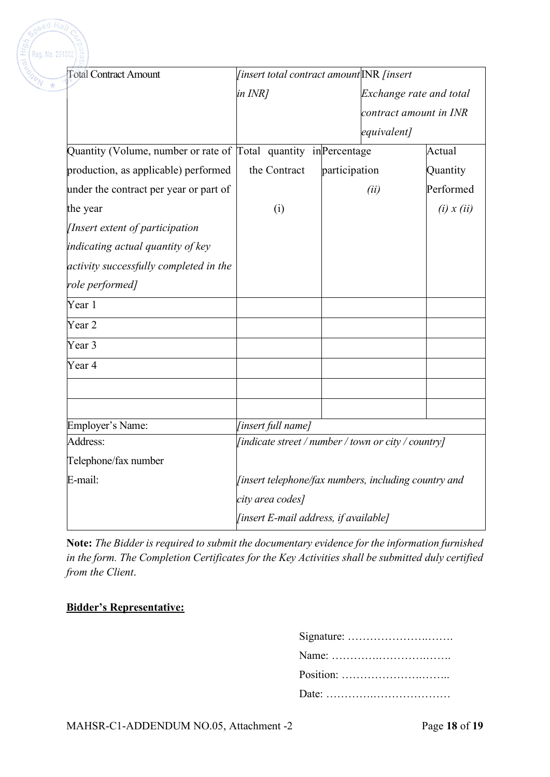| <b>Total Contract Amount</b>                                     | <i>[insert total contract amount</i> INR <i>finsert</i> |               |                         |                |
|------------------------------------------------------------------|---------------------------------------------------------|---------------|-------------------------|----------------|
|                                                                  | in INR]                                                 |               | Exchange rate and total |                |
|                                                                  |                                                         |               | contract amount in INR  |                |
|                                                                  |                                                         |               | equivalent]             |                |
| Quantity (Volume, number or rate of Total quantity in Percentage |                                                         |               |                         | Actual         |
| production, as applicable) performed                             | the Contract                                            | participation |                         | Quantity       |
| under the contract per year or part of                           |                                                         |               | (ii)                    | Performed      |
| the year                                                         | (i)                                                     |               |                         | $(i)$ x $(ii)$ |
| [Insert extent of participation]                                 |                                                         |               |                         |                |
| indicating actual quantity of key                                |                                                         |               |                         |                |
| activity successfully completed in the                           |                                                         |               |                         |                |
| role performed]                                                  |                                                         |               |                         |                |
| Year 1                                                           |                                                         |               |                         |                |
| Year 2                                                           |                                                         |               |                         |                |
| Year 3                                                           |                                                         |               |                         |                |
| Year 4                                                           |                                                         |               |                         |                |
|                                                                  |                                                         |               |                         |                |
|                                                                  |                                                         |               |                         |                |
| Employer's Name:                                                 | [insert full name]                                      |               |                         |                |
| Address:                                                         | [indicate street / number / town or city / country]     |               |                         |                |
| Telephone/fax number                                             |                                                         |               |                         |                |
| E-mail:                                                          | [insert telephone/fax numbers, including country and    |               |                         |                |
|                                                                  | city area codes]                                        |               |                         |                |
|                                                                  | [insert E-mail address, if available]                   |               |                         |                |

**Note:** *The Bidder is required to submit the documentary evidence for the information furnished in the form. The Completion Certificates for the Key Activities shall be submitted duly certified from the Client*.

### **Bidder's Representative:**

 $ed$   $Ra$ 

| Name: $\dots \dots \dots \dots \dots \dots \dots \dots \dots \dots$ |
|---------------------------------------------------------------------|
|                                                                     |
|                                                                     |